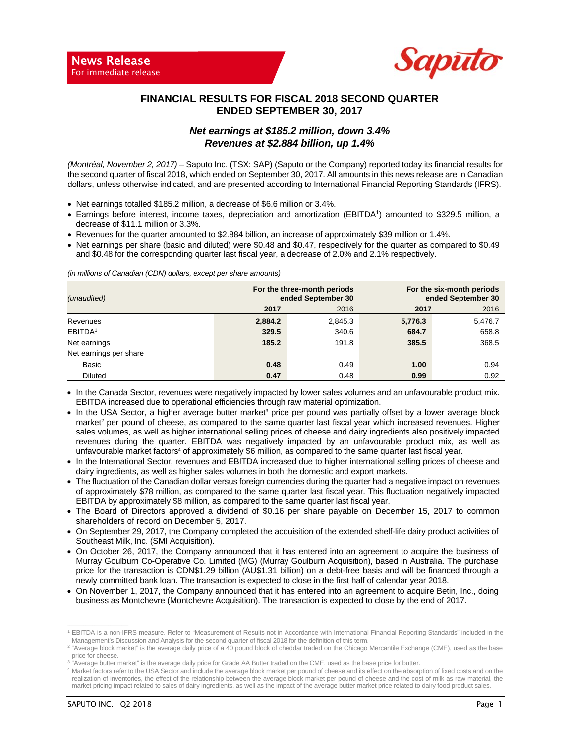

### **FINANCIAL RESULTS FOR FISCAL 2018 SECOND QUARTER ENDED SEPTEMBER 30, 2017**

#### *Net earnings at \$185.2 million, down 3.4% Revenues at \$2.884 billion, up 1.4%*

*(Montréal, November 2, 2017) –* Saputo Inc. (TSX: SAP) (Saputo or the Company) reported today its financial results for the second quarter of fiscal 2018, which ended on September 30, 2017. All amounts in this news release are in Canadian dollars, unless otherwise indicated, and are presented according to International Financial Reporting Standards (IFRS).

- Net earnings totalled \$185.2 million, a decrease of \$6.6 million or 3.4%.
- Earnings before interest, income taxes, depreciation and amortization (EBITDA1) amounted to \$329.5 million, a decrease of \$11.1 million or 3.3%.
- Revenues for the quarter amounted to \$2.884 billion, an increase of approximately \$39 million or 1.4%.
- Net earnings per share (basic and diluted) were \$0.48 and \$0.47, respectively for the quarter as compared to \$0.49 and \$0.48 for the corresponding quarter last fiscal year, a decrease of 2.0% and 2.1% respectively.

*(in millions of Canadian (CDN) dollars, except per share amounts)* 

| (unaudited)            |         | For the three-month periods<br>ended September 30 | For the six-month periods<br>ended September 30 |         |  |
|------------------------|---------|---------------------------------------------------|-------------------------------------------------|---------|--|
|                        | 2017    | 2016                                              | 2017                                            | 2016    |  |
| Revenues               | 2,884.2 | 2,845.3                                           | 5,776.3                                         | 5,476.7 |  |
| EBITDA <sup>1</sup>    | 329.5   | 340.6                                             | 684.7                                           | 658.8   |  |
| Net earnings           | 185.2   | 191.8                                             | 385.5                                           | 368.5   |  |
| Net earnings per share |         |                                                   |                                                 |         |  |
| Basic                  | 0.48    | 0.49                                              | 1.00                                            | 0.94    |  |
| <b>Diluted</b>         | 0.47    | 0.48                                              | 0.99                                            | 0.92    |  |

• In the Canada Sector, revenues were negatively impacted by lower sales volumes and an unfavourable product mix. EBITDA increased due to operational efficiencies through raw material optimization.

- In the USA Sector, a higher average butter market<sup>3</sup> price per pound was partially offset by a lower average block market<sup>2</sup> per pound of cheese, as compared to the same quarter last fiscal year which increased revenues. Higher sales volumes, as well as higher international selling prices of cheese and dairy ingredients also positively impacted revenues during the quarter. EBITDA was negatively impacted by an unfavourable product mix, as well as unfavourable market factors<sup>4</sup> of approximately \$6 million, as compared to the same quarter last fiscal year.
- In the International Sector, revenues and EBITDA increased due to higher international selling prices of cheese and dairy ingredients, as well as higher sales volumes in both the domestic and export markets.
- The fluctuation of the Canadian dollar versus foreign currencies during the quarter had a negative impact on revenues of approximately \$78 million, as compared to the same quarter last fiscal year. This fluctuation negatively impacted EBITDA by approximately \$8 million, as compared to the same quarter last fiscal year.
- The Board of Directors approved a dividend of \$0.16 per share payable on December 15, 2017 to common shareholders of record on December 5, 2017.
- On September 29, 2017, the Company completed the acquisition of the extended shelf-life dairy product activities of Southeast Milk, Inc. (SMI Acquisition).
- On October 26, 2017, the Company announced that it has entered into an agreement to acquire the business of Murray Goulburn Co-Operative Co. Limited (MG) (Murray Goulburn Acquisition), based in Australia. The purchase price for the transaction is CDN\$1.29 billion (AU\$1.31 billion) on a debt-free basis and will be financed through a newly committed bank loan. The transaction is expected to close in the first half of calendar year 2018.
- On November 1, 2017, the Company announced that it has entered into an agreement to acquire Betin, Inc., doing business as Montchevre (Montchevre Acquisition). The transaction is expected to close by the end of 2017.

**\_\_\_\_\_\_\_\_\_\_\_\_\_\_\_\_\_\_\_\_\_\_\_\_\_\_\_**

<sup>&</sup>lt;sup>1</sup> EBITDA is a non-IFRS measure. Refer to "Measurement of Results not in Accordance with International Financial Reporting Standards" included in the Management's Discussion and Analysis for the second quarter of fiscal 2018 for the definition of this term. 2

<sup>&</sup>lt;sup>2</sup> "Average block market" is the average daily price of a 40 pound block of cheddar traded on the Chicago Mercantile Exchange (CME), used as the base price for cheese.

<sup>&</sup>lt;sup>3</sup> "Average butter market" is the average daily price for Grade AA Butter traded on the CME, used as the base price for butter.<br><sup>4</sup> Market factors refer to the USA Sector and include the average block market per pound of

<sup>&</sup>lt;sup>4</sup> Market factors refer to the USA Sector and include the average block market per pound of cheese and its effect on the absorption of fixed costs and on the realization of inventories, the effect of the relationship between the average block market per pound of cheese and the cost of milk as raw material, the market pricing impact related to sales of dairy ingredients, as well as the impact of the average butter market price related to dairy food product sales.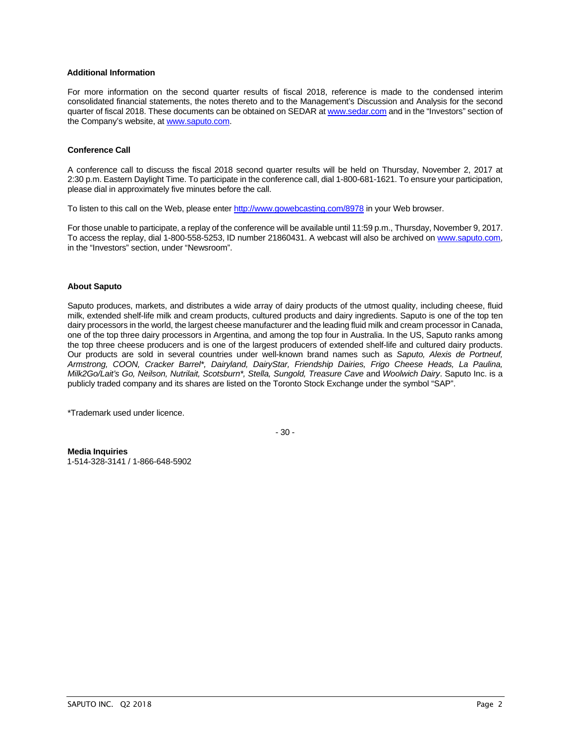#### **Additional Information**

For more information on the second quarter results of fiscal 2018, reference is made to the condensed interim consolidated financial statements, the notes thereto and to the Management's Discussion and Analysis for the second quarter of fiscal 2018. These documents can be obtained on SEDAR at www.sedar.com and in the "Investors" section of the Company's website, at www.saputo.com.

#### **Conference Call**

A conference call to discuss the fiscal 2018 second quarter results will be held on Thursday, November 2, 2017 at 2:30 p.m. Eastern Daylight Time. To participate in the conference call, dial 1-800-681-1621. To ensure your participation, please dial in approximately five minutes before the call.

To listen to this call on the Web, please enter http://www.gowebcasting.com/8978 in your Web browser.

For those unable to participate, a replay of the conference will be available until 11:59 p.m., Thursday, November 9, 2017. To access the replay, dial 1-800-558-5253, ID number 21860431. A webcast will also be archived on www.saputo.com, in the "Investors" section, under "Newsroom".

#### **About Saputo**

Saputo produces, markets, and distributes a wide array of dairy products of the utmost quality, including cheese, fluid milk, extended shelf-life milk and cream products, cultured products and dairy ingredients. Saputo is one of the top ten dairy processors in the world, the largest cheese manufacturer and the leading fluid milk and cream processor in Canada, one of the top three dairy processors in Argentina, and among the top four in Australia. In the US, Saputo ranks among the top three cheese producers and is one of the largest producers of extended shelf-life and cultured dairy products. Our products are sold in several countries under well-known brand names such as *Saputo, Alexis de Portneuf, Armstrong, COON, Cracker Barrel\*, Dairyland, DairyStar, Friendship Dairies, Frigo Cheese Heads, La Paulina, Milk2Go/Lait's Go, Neilson, Nutrilait, Scotsburn\*, Stella, Sungold, Treasure Cave* and *Woolwich Dairy*. Saputo Inc. is a publicly traded company and its shares are listed on the Toronto Stock Exchange under the symbol "SAP".

\*Trademark used under licence.

- 30 -

**Media Inquiries**  1-514-328-3141 / 1-866-648-5902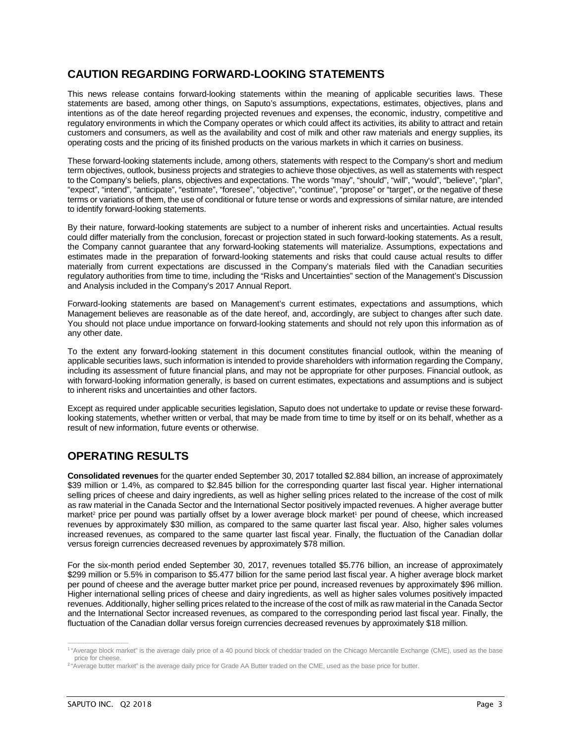## **CAUTION REGARDING FORWARD-LOOKING STATEMENTS**

This news release contains forward-looking statements within the meaning of applicable securities laws. These statements are based, among other things, on Saputo's assumptions, expectations, estimates, objectives, plans and intentions as of the date hereof regarding projected revenues and expenses, the economic, industry, competitive and regulatory environments in which the Company operates or which could affect its activities, its ability to attract and retain customers and consumers, as well as the availability and cost of milk and other raw materials and energy supplies, its operating costs and the pricing of its finished products on the various markets in which it carries on business.

These forward-looking statements include, among others, statements with respect to the Company's short and medium term objectives, outlook, business projects and strategies to achieve those objectives, as well as statements with respect to the Company's beliefs, plans, objectives and expectations. The words "may", "should", "will", "would", "believe", "plan", "expect", "intend", "anticipate", "estimate", "foresee", "objective", "continue", "propose" or "target", or the negative of these terms or variations of them, the use of conditional or future tense or words and expressions of similar nature, are intended to identify forward-looking statements.

By their nature, forward-looking statements are subject to a number of inherent risks and uncertainties. Actual results could differ materially from the conclusion, forecast or projection stated in such forward-looking statements. As a result, the Company cannot guarantee that any forward-looking statements will materialize. Assumptions, expectations and estimates made in the preparation of forward-looking statements and risks that could cause actual results to differ materially from current expectations are discussed in the Company's materials filed with the Canadian securities regulatory authorities from time to time, including the "Risks and Uncertainties" section of the Management's Discussion and Analysis included in the Company's 2017 Annual Report.

Forward-looking statements are based on Management's current estimates, expectations and assumptions, which Management believes are reasonable as of the date hereof, and, accordingly, are subject to changes after such date. You should not place undue importance on forward-looking statements and should not rely upon this information as of any other date.

To the extent any forward-looking statement in this document constitutes financial outlook, within the meaning of applicable securities laws, such information is intended to provide shareholders with information regarding the Company, including its assessment of future financial plans, and may not be appropriate for other purposes. Financial outlook, as with forward-looking information generally, is based on current estimates, expectations and assumptions and is subject to inherent risks and uncertainties and other factors.

Except as required under applicable securities legislation, Saputo does not undertake to update or revise these forwardlooking statements, whether written or verbal, that may be made from time to time by itself or on its behalf, whether as a result of new information, future events or otherwise.

# **OPERATING RESULTS**

**Consolidated revenues** for the quarter ended September 30, 2017 totalled \$2.884 billion, an increase of approximately \$39 million or 1.4%, as compared to \$2.845 billion for the corresponding quarter last fiscal year. Higher international selling prices of cheese and dairy ingredients, as well as higher selling prices related to the increase of the cost of milk as raw material in the Canada Sector and the International Sector positively impacted revenues. A higher average butter market<sup>2</sup> price per pound was partially offset by a lower average block market<sup>1</sup> per pound of cheese, which increased revenues by approximately \$30 million, as compared to the same quarter last fiscal year. Also, higher sales volumes increased revenues, as compared to the same quarter last fiscal year. Finally, the fluctuation of the Canadian dollar versus foreign currencies decreased revenues by approximately \$78 million.

For the six-month period ended September 30, 2017, revenues totalled \$5.776 billion, an increase of approximately \$299 million or 5.5% in comparison to \$5.477 billion for the same period last fiscal year. A higher average block market per pound of cheese and the average butter market price per pound, increased revenues by approximately \$96 million. Higher international selling prices of cheese and dairy ingredients, as well as higher sales volumes positively impacted revenues. Additionally, higher selling prices related to the increase of the cost of milk as raw material in the Canada Sector and the International Sector increased revenues, as compared to the corresponding period last fiscal year. Finally, the fluctuation of the Canadian dollar versus foreign currencies decreased revenues by approximately \$18 million.

**\_\_\_\_\_\_\_\_\_\_\_\_\_\_\_\_\_\_\_\_\_\_\_\_\_\_\_**

<sup>1 &</sup>quot;Average block market" is the average daily price of a 40 pound block of cheddar traded on the Chicago Mercantile Exchange (CME), used as the base price for cheese.<br><sup>2 "</sup>Average butter market" is the average daily price for Grade AA Butter traded on the CME, used as the base price for butter.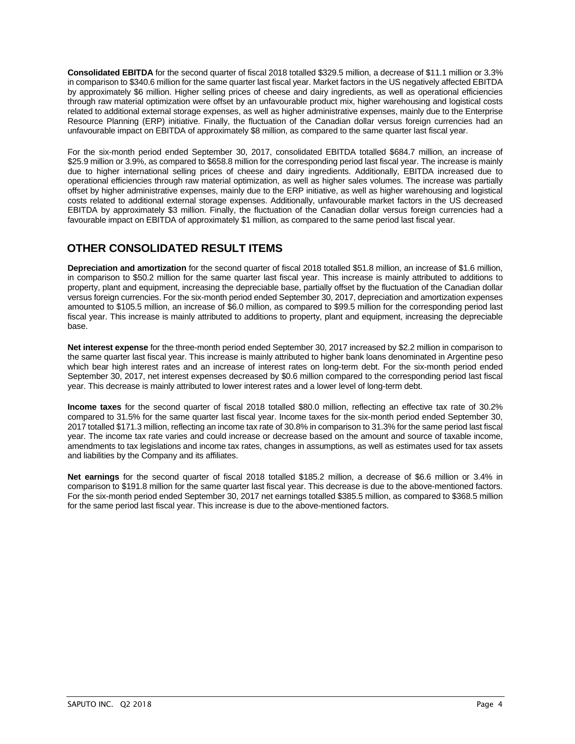**Consolidated EBITDA** for the second quarter of fiscal 2018 totalled \$329.5 million, a decrease of \$11.1 million or 3.3% in comparison to \$340.6 million for the same quarter last fiscal year. Market factors in the US negatively affected EBITDA by approximately \$6 million. Higher selling prices of cheese and dairy ingredients, as well as operational efficiencies through raw material optimization were offset by an unfavourable product mix, higher warehousing and logistical costs related to additional external storage expenses, as well as higher administrative expenses, mainly due to the Enterprise Resource Planning (ERP) initiative. Finally, the fluctuation of the Canadian dollar versus foreign currencies had an unfavourable impact on EBITDA of approximately \$8 million, as compared to the same quarter last fiscal year.

For the six-month period ended September 30, 2017, consolidated EBITDA totalled \$684.7 million, an increase of \$25.9 million or 3.9%, as compared to \$658.8 million for the corresponding period last fiscal year. The increase is mainly due to higher international selling prices of cheese and dairy ingredients. Additionally, EBITDA increased due to operational efficiencies through raw material optimization, as well as higher sales volumes. The increase was partially offset by higher administrative expenses, mainly due to the ERP initiative, as well as higher warehousing and logistical costs related to additional external storage expenses. Additionally, unfavourable market factors in the US decreased EBITDA by approximately \$3 million. Finally, the fluctuation of the Canadian dollar versus foreign currencies had a favourable impact on EBITDA of approximately \$1 million, as compared to the same period last fiscal year.

## **OTHER CONSOLIDATED RESULT ITEMS**

**Depreciation and amortization** for the second quarter of fiscal 2018 totalled \$51.8 million, an increase of \$1.6 million, in comparison to \$50.2 million for the same quarter last fiscal year. This increase is mainly attributed to additions to property, plant and equipment, increasing the depreciable base, partially offset by the fluctuation of the Canadian dollar versus foreign currencies. For the six-month period ended September 30, 2017, depreciation and amortization expenses amounted to \$105.5 million, an increase of \$6.0 million, as compared to \$99.5 million for the corresponding period last fiscal year. This increase is mainly attributed to additions to property, plant and equipment, increasing the depreciable base.

**Net interest expense** for the three-month period ended September 30, 2017 increased by \$2.2 million in comparison to the same quarter last fiscal year. This increase is mainly attributed to higher bank loans denominated in Argentine peso which bear high interest rates and an increase of interest rates on long-term debt. For the six-month period ended September 30, 2017, net interest expenses decreased by \$0.6 million compared to the corresponding period last fiscal year. This decrease is mainly attributed to lower interest rates and a lower level of long-term debt.

**Income taxes** for the second quarter of fiscal 2018 totalled \$80.0 million, reflecting an effective tax rate of 30.2% compared to 31.5% for the same quarter last fiscal year. Income taxes for the six-month period ended September 30, 2017 totalled \$171.3 million, reflecting an income tax rate of 30.8% in comparison to 31.3% for the same period last fiscal year. The income tax rate varies and could increase or decrease based on the amount and source of taxable income, amendments to tax legislations and income tax rates, changes in assumptions, as well as estimates used for tax assets and liabilities by the Company and its affiliates.

**Net earnings** for the second quarter of fiscal 2018 totalled \$185.2 million, a decrease of \$6.6 million or 3.4% in comparison to \$191.8 million for the same quarter last fiscal year. This decrease is due to the above-mentioned factors. For the six-month period ended September 30, 2017 net earnings totalled \$385.5 million, as compared to \$368.5 million for the same period last fiscal year. This increase is due to the above-mentioned factors.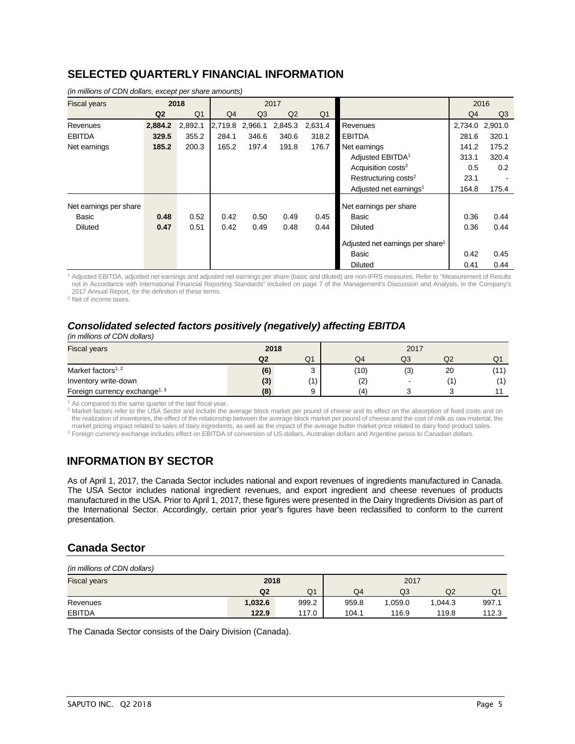## **SELECTED QUARTERLY FINANCIAL INFORMATION**

| <b>Fiscal years</b>    |         | 2018                           |         |                | 2017    |                |                                              | 2016           |                |
|------------------------|---------|--------------------------------|---------|----------------|---------|----------------|----------------------------------------------|----------------|----------------|
|                        | Q2      | Q <sub>1</sub>                 | Q4      | Q <sub>3</sub> | Q2      | Q <sub>1</sub> |                                              | Q <sub>4</sub> | Q <sub>3</sub> |
| Revenues               | 2,884.2 | 2,892.1                        | 2,719.8 | 2,966.1        | 2,845.3 | 2,631.4        | Revenues                                     | 2,734.0        | 2,901.0        |
| <b>EBITDA</b>          | 329.5   | 355.2                          | 284.1   | 346.6          | 340.6   | 318.2          | <b>EBITDA</b>                                | 281.6          | 320.1          |
| Net earnings           | 185.2   | 200.3                          | 165.2   | 197.4          | 191.8   | 176.7          | Net earnings                                 | 141.2          | 175.2          |
|                        |         |                                |         |                |         |                | Adjusted EBITDA <sup>1</sup>                 | 313.1          | 320.4          |
|                        |         | Acquisition costs <sup>2</sup> | 0.5     | 0.2            |         |                |                                              |                |                |
|                        |         |                                |         |                |         |                | Restructuring costs <sup>2</sup>             | 23.1           |                |
|                        |         |                                |         |                |         |                | Adjusted net earnings <sup>1</sup>           | 164.8          | 175.4          |
| Net earnings per share |         |                                |         |                |         |                | Net earnings per share                       |                |                |
| Basic                  | 0.48    | 0.52                           | 0.42    | 0.50           | 0.49    | 0.45           | Basic                                        | 0.36           | 0.44           |
| <b>Diluted</b>         | 0.47    | 0.51                           | 0.42    | 0.49           | 0.48    | 0.44           | <b>Diluted</b>                               | 0.36           | 0.44           |
|                        |         |                                |         |                |         |                | Adjusted net earnings per share <sup>1</sup> |                |                |
|                        |         |                                |         |                |         |                | Basic                                        | 0.42           | 0.45           |
|                        |         |                                |         |                |         |                | <b>Diluted</b>                               | 0.41           | 0.44           |

*(in millions of CDN dollars, except per share amounts)* 

1 Adjusted EBITDA, adjusted net earnings and adjusted net earnings per share (basic and diluted) are non-IFRS measures. Refer to "Measurement of Results not in Accordance with International Financial Reporting Standards" included on page 7 of the Management's Discussion and Analysis, in the Company's 2017 Annual Report, for the definition of these terms. 2 Net of income taxes.

# *Consolidated selected factors positively (negatively) affecting EBITDA*

|  | (in millions of CDN dollars) |  |  |
|--|------------------------------|--|--|
|--|------------------------------|--|--|

| <b>Fiscal years</b>                       | 2018 |                | 2017 |     |    |      |
|-------------------------------------------|------|----------------|------|-----|----|------|
|                                           | Q2   | Q <sub>1</sub> | Q4   | Q3  | Q2 | Ő.   |
| Market factors <sup>1, 2</sup>            | (6)  | ບ              | (10) | (3) | 20 | (11) |
| Inventory write-down                      | (3)  | $\mathbf{A}$   | (2)  |     |    |      |
| Foreign currency exchange <sup>1, 3</sup> | (8)  | a              | (4)  |     |    |      |

 $1$  As compared to the same quarter of the last fiscal year.

2 Market factors refer to the USA Sector and include the average block market per pound of cheese and its effect on the absorption of fixed costs and on the realization of inventories, the effect of the relationship between the average block market per pound of cheese and the cost of milk as raw material, the market pricing impact related to sales of dairy ingredients, as well as the impact of the average butter market price related to dairy food product sales. <sup>3</sup> Foreign currency exchange includes effect on EBITDA of conversion of US dollars, Australian dollars and Argentine pesos to Canadian dollars.

## **INFORMATION BY SECTOR**

As of April 1, 2017, the Canada Sector includes national and export revenues of ingredients manufactured in Canada. The USA Sector includes national ingredient revenues, and export ingredient and cheese revenues of products manufactured in the USA. Prior to April 1, 2017, these figures were presented in the Dairy Ingredients Division as part of the International Sector. Accordingly, certain prior year's figures have been reclassified to conform to the current presentation.

## **Canada Sector**

| (in millions of CDN dollars) |         |                |       |        |         |       |  |  |  |  |  |  |
|------------------------------|---------|----------------|-------|--------|---------|-------|--|--|--|--|--|--|
| Fiscal years                 | 2018    |                | 2017  |        |         |       |  |  |  |  |  |  |
|                              | Q2      | Q <sub>1</sub> | Q4    | Q3     | Q2      | Q1    |  |  |  |  |  |  |
| Revenues                     | 1,032.6 | 999.2          | 959.8 | .059.0 | 1.044.3 | 997.1 |  |  |  |  |  |  |
| <b>EBITDA</b>                | 122.9   | 117.0          | 104.1 | 116.9  | 119.8   | 112.3 |  |  |  |  |  |  |

The Canada Sector consists of the Dairy Division (Canada).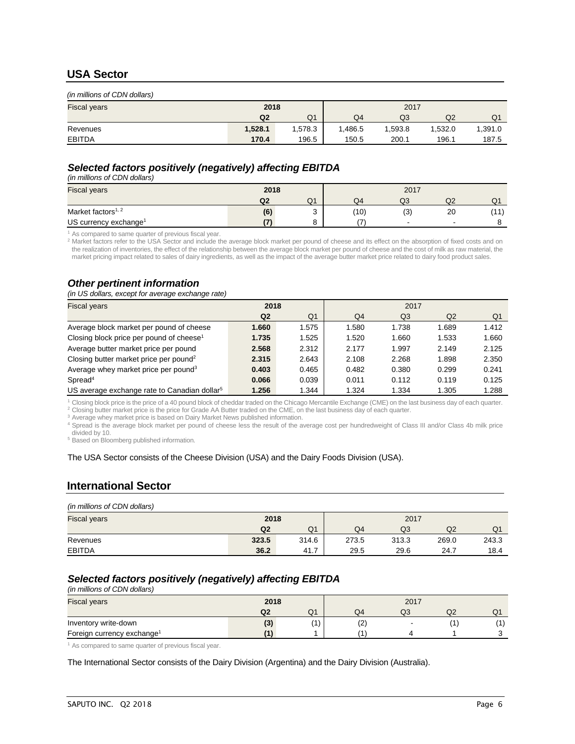### **USA Sector**

| (in millions of CDN dollars) |         |        |        |        |         |         |
|------------------------------|---------|--------|--------|--------|---------|---------|
| Fiscal years                 | 2017    |        |        |        |         |         |
|                              | Q2      | Q1     | Q4     | Q3     | Q2      | Ő.      |
| Revenues                     | 1,528.1 | .578.3 | .486.5 | .593.8 | 1.532.0 | 1,391.0 |
| <b>EBITDA</b>                | 170.4   | 196.5  | 150.5  | 200.1  | 196.1   | 187.5   |

## *Selected factors positively (negatively) affecting EBITDA*

*(in millions of CDN dollars)* 

| <b>Fiscal years</b>               | 2018 |                | 2017 |    |    |      |
|-----------------------------------|------|----------------|------|----|----|------|
|                                   | Q2   | Q <sub>1</sub> | Q4   | Q3 | w∠ | U.   |
| Market factors <sup>1, 2</sup>    | (6)  | ∽<br>ັ         | 10   | (3 | 20 | (11) |
| US currency exchange <sup>1</sup> | 7    | ິ<br>O         | ,    |    |    |      |

<sup>1</sup> As compared to same quarter of previous fiscal year.

<sup>2</sup> Market factors refer to the USA Sector and include the average block market per pound of cheese and its effect on the absorption of fixed costs and on the realization of inventories, the effect of the relationship between the average block market per pound of cheese and the cost of milk as raw material, the market pricing impact related to sales of dairy ingredients, as well as the impact of the average butter market price related to dairy food product sales.

### *Other pertinent information*

*(in US dollars, except for average exchange rate)* 

| <b>Fiscal years</b>                                      | 2018           |                | 2017  |       |       |       |
|----------------------------------------------------------|----------------|----------------|-------|-------|-------|-------|
|                                                          | Q <sub>2</sub> | Q <sub>1</sub> | Q4    | Q3    | Q2    | Q1    |
| Average block market per pound of cheese                 | 1.660          | 1.575          | 1.580 | 1.738 | 1.689 | 1.412 |
| Closing block price per pound of cheese <sup>1</sup>     | 1.735          | 1.525          | 1.520 | 1.660 | 1.533 | 1.660 |
| Average butter market price per pound                    | 2.568          | 2.312          | 2.177 | 1.997 | 2.149 | 2.125 |
| Closing butter market price per pound <sup>2</sup>       | 2.315          | 2.643          | 2.108 | 2.268 | 1.898 | 2.350 |
| Average whey market price per pound <sup>3</sup>         | 0.403          | 0.465          | 0.482 | 0.380 | 0.299 | 0.241 |
| $S$ pread <sup>4</sup>                                   | 0.066          | 0.039          | 0.011 | 0.112 | 0.119 | 0.125 |
| US average exchange rate to Canadian dollar <sup>5</sup> | 1.256          | 1.344          | 1.324 | 1.334 | 1.305 | 1.288 |

1 Closing block price is the price of a 40 pound block of cheddar traded on the Chicago Mercantile Exchange (CME) on the last business day of each quarter.

<sup>2</sup> Closing butter market price is the price for Grade AA Butter traded on the CME, on the last business day of each quarter.<br><sup>3</sup> Average whey market price is based on Dairy Market News published information.

<sup>4</sup> Spread is the average block market price is based on Dairy Market News published information.<br><sup>4</sup> Spread is the average block market per pound of cheese less the result of the average cost per hundredweight of Class II divided by 10.

5 Based on Bloomberg published information.

#### The USA Sector consists of the Cheese Division (USA) and the Dairy Foods Division (USA).

### **International Sector**

|  | (in millions of CDN dollars) |  |  |
|--|------------------------------|--|--|
|  |                              |  |  |

| <b>Fiscal years</b> | 2018  |                | 2017  |       |       |                |
|---------------------|-------|----------------|-------|-------|-------|----------------|
|                     | Q2    | Q <sub>1</sub> | Q4    | Q3    | Q2    | Q <sub>1</sub> |
| Revenues            | 323.5 | 314.6          | 273.5 | 313.3 | 269.0 | 243.3          |
| <b>EBITDA</b>       | 36.2  | 41.            | 29.5  | 29.6  | 24.7  | 18.4           |

## *Selected factors positively (negatively) affecting EBITDA*

*(in millions of CDN dollars)* 

| <b>Fiscal years</b>                    | 2018              |    | 2017                        |    |   |  |
|----------------------------------------|-------------------|----|-----------------------------|----|---|--|
|                                        | Q2                | Q1 | $\mathcal{Q}^{\mathcal{L}}$ | Q3 | w |  |
| Inventory write-down                   | $\left( 3\right)$ | A. | 2)                          |    |   |  |
| Foreign currency exchange <sup>1</sup> |                   |    |                             |    |   |  |

<sup>1</sup> As compared to same quarter of previous fiscal year.

The International Sector consists of the Dairy Division (Argentina) and the Dairy Division (Australia).